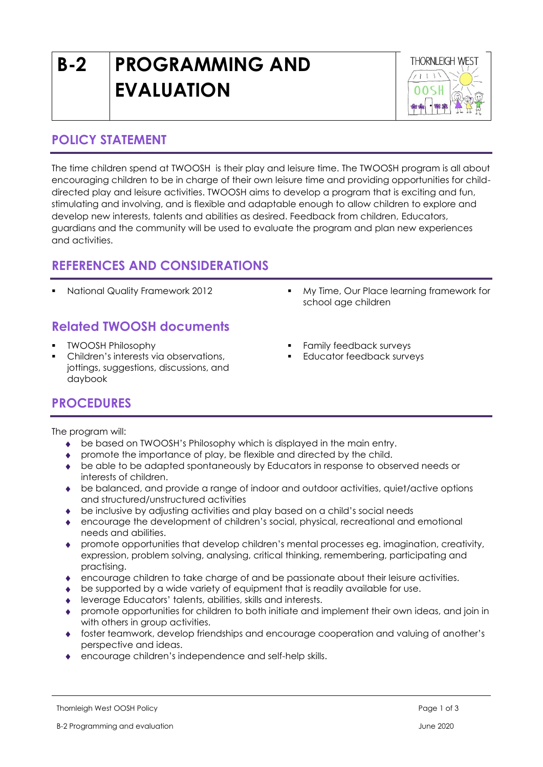# **B-2 PROGRAMMING AND EVALUATION**



#### **POLICY STATEMENT**

The time children spend at TWOOSH is their play and leisure time. The TWOOSH program is all about encouraging children to be in charge of their own leisure time and providing opportunities for childdirected play and leisure activities. TWOOSH aims to develop a program that is exciting and fun, stimulating and involving, and is flexible and adaptable enough to allow children to explore and develop new interests, talents and abilities as desired. Feedback from children, Educators, guardians and the community will be used to evaluate the program and plan new experiences and activities.

### **REFERENCES AND CONSIDERATIONS**

# **Related TWOOSH documents**

- **TWOOSH Philosophy**
- Children's interests via observations, jottings, suggestions, discussions, and daybook
- National Quality Framework 2012 My Time, Our Place learning framework for school age children
	- Family feedback surveys
	- Educator feedback surveys

## **PROCEDURES**

The program will:

- be based on TWOOSH's Philosophy which is displayed in the main entry.
- promote the importance of play, be flexible and directed by the child.
- be able to be adapted spontaneously by Educators in response to observed needs or interests of children.
- be balanced, and provide a range of indoor and outdoor activities, quiet/active options and structured/unstructured activities
- be inclusive by adjusting activities and play based on a child's social needs
- encourage the development of children's social, physical, recreational and emotional needs and abilities.
- promote opportunities that develop children's mental processes eg. imagination, creativity, expression, problem solving, analysing, critical thinking, remembering, participating and practising.
- encourage children to take charge of and be passionate about their leisure activities.
- be supported by a wide variety of equipment that is readily available for use.
- leverage Educators' talents, abilities, skills and interests.
- promote opportunities for children to both initiate and implement their own ideas, and join in with others in group activities.
- foster teamwork, develop friendships and encourage cooperation and valuing of another's perspective and ideas.
- encourage children's independence and self-help skills.